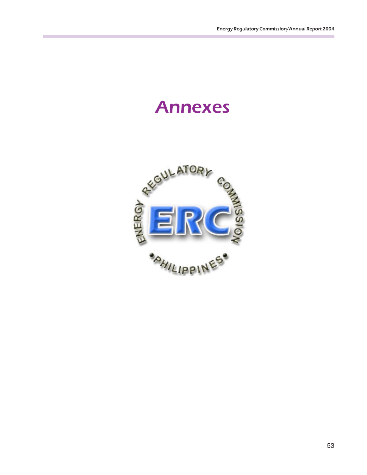# Annexes

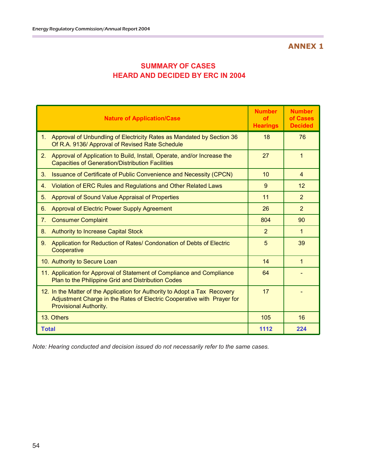| <b>SUMMARY OF CASES</b>                 |
|-----------------------------------------|
| <b>HEARD AND DECIDED BY ERC IN 2004</b> |

| <b>Nature of Application/Case</b>                                                                                                                                                     | <b>Number</b><br><b>of</b><br><b>Hearings</b> | <b>Number</b><br>of Cases<br><b>Decided</b> |
|---------------------------------------------------------------------------------------------------------------------------------------------------------------------------------------|-----------------------------------------------|---------------------------------------------|
| 1 <sub>1</sub><br>Approval of Unbundling of Electricity Rates as Mandated by Section 36<br>Of R.A. 9136/ Approval of Revised Rate Schedule                                            | 18                                            | 76                                          |
| 2.<br>Approval of Application to Build, Install, Operate, and/or Increase the<br><b>Capacities of Generation/Distribution Facilities</b>                                              | 27                                            | 1                                           |
| Issuance of Certificate of Public Convenience and Necessity (CPCN)<br>3.                                                                                                              | 10                                            | $\overline{4}$                              |
| Violation of ERC Rules and Regulations and Other Related Laws<br>$\mathbf{4}$ .                                                                                                       | 9                                             | 12                                          |
| Approval of Sound Value Appraisal of Properties<br>5.                                                                                                                                 | 11                                            | $\overline{2}$                              |
| 6.<br><b>Approval of Electric Power Supply Agreement</b>                                                                                                                              | 26                                            | $\overline{2}$                              |
| 7 <sub>1</sub><br><b>Consumer Complaint</b>                                                                                                                                           | 804                                           | 90                                          |
| <b>Authority to Increase Capital Stock</b><br>8.                                                                                                                                      | $\mathcal{P}$                                 | 1                                           |
| Application for Reduction of Rates/ Condonation of Debts of Electric<br>9.<br>Cooperative                                                                                             | 5                                             | 39                                          |
| 10. Authority to Secure Loan                                                                                                                                                          | 14                                            | $\mathbf{1}$                                |
| 11. Application for Approval of Statement of Compliance and Compliance<br>Plan to the Philippine Grid and Distribution Codes                                                          | 64                                            |                                             |
| 12. In the Matter of the Application for Authority to Adopt a Tax Recovery<br>Adjustment Charge in the Rates of Electric Cooperative with Prayer for<br><b>Provisional Authority.</b> | 17                                            |                                             |
| 13. Others                                                                                                                                                                            | 105                                           | 16                                          |
| <b>Total</b>                                                                                                                                                                          | 1112                                          | 224                                         |

*Note: Hearing conducted and decision issued do not necessarily refer to the same cases.*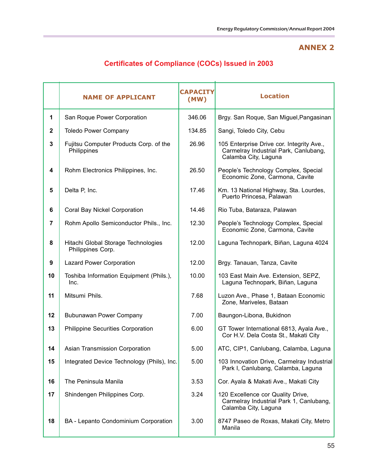|                | <b>NAME OF APPLICANT</b>                                 | <b>CAPACITY</b><br>(MW) | <b>Location</b>                                                                                            |
|----------------|----------------------------------------------------------|-------------------------|------------------------------------------------------------------------------------------------------------|
|                |                                                          |                         |                                                                                                            |
| 1              | San Roque Power Corporation                              | 346.06                  | Brgy. San Roque, San Miguel, Pangasinan                                                                    |
| $\mathbf{2}$   | <b>Toledo Power Company</b>                              | 134.85                  | Sangi, Toledo City, Cebu                                                                                   |
| $\mathbf{3}$   | Fujitsu Computer Products Corp. of the<br>Philippines    | 26.96                   | 105 Enterprise Drive cor. Integrity Ave.,<br>Carmelray Industrial Park, Canlubang,<br>Calamba City, Laguna |
| 4              | Rohm Electronics Philippines, Inc.                       | 26.50                   | People's Technology Complex, Special<br>Economic Zone, Carmona, Cavite                                     |
| $5\phantom{1}$ | Delta P, Inc.                                            | 17.46                   | Km. 13 National Highway, Sta. Lourdes,<br>Puerto Princesa, Palawan                                         |
| 6              | Coral Bay Nickel Corporation                             | 14.46                   | Rio Tuba, Bataraza, Palawan                                                                                |
| 7              | Rohm Apollo Semiconductor Phils., Inc.                   | 12.30                   | People's Technology Complex, Special<br>Economic Zone, Carmona, Cavite                                     |
| 8              | Hitachi Global Storage Technologies<br>Philippines Corp. | 12.00                   | Laguna Technopark, Biñan, Laguna 4024                                                                      |
| 9              | <b>Lazard Power Corporation</b>                          | 12.00                   | Brgy. Tanauan, Tanza, Cavite                                                                               |
| 10             | Toshiba Information Equipment (Phils.),<br>Inc.          | 10.00                   | 103 East Main Ave. Extension, SEPZ,<br>Laguna Technopark, Biñan, Laguna                                    |
| 11             | Mitsumi Phils.                                           | 7.68                    | Luzon Ave., Phase 1, Bataan Economic<br>Zone, Mariveles, Bataan                                            |
| 12             | Bubunawan Power Company                                  | 7.00                    | Baungon-Libona, Bukidnon                                                                                   |
| 13             | Philippine Securities Corporation                        | 6.00                    | GT Tower International 6813, Ayala Ave.,<br>Cor H.V. Dela Costa St., Makati City                           |
| 14             | Asian Transmission Corporation                           | 5.00                    | ATC, CIP1, Canlubang, Calamba, Laguna                                                                      |
| 15             | Integrated Device Technology (Phils), Inc.               | 5.00                    | 103 Innovation Drive, Carmelray Industrial<br>Park I, Canlubang, Calamba, Laguna                           |
| 16             | The Peninsula Manila                                     | 3.53                    | Cor. Ayala & Makati Ave., Makati City                                                                      |
| 17             | Shindengen Philippines Corp.                             | 3.24                    | 120 Excellence cor Quality Drive,<br>Carmelray Industrial Park 1, Canlubang,<br>Calamba City, Laguna       |
| 18             | BA - Lepanto Condominium Corporation                     | 3.00                    | 8747 Paseo de Roxas, Makati City, Metro<br>Manila                                                          |

# **Certificates of Compliance (COCs) Issued in 2003**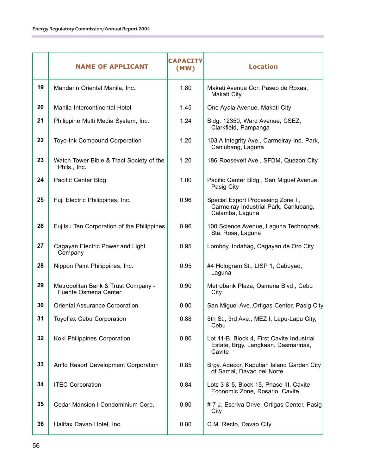|    | <b>NAME OF APPLICANT</b>                                           | <b>CAPACITY</b><br>(MW) | <b>Location</b>                                                                                |
|----|--------------------------------------------------------------------|-------------------------|------------------------------------------------------------------------------------------------|
| 19 | Mandarin Oriental Manila, Inc.                                     | 1.80                    | Makati Avenue Cor. Paseo de Roxas,<br>Makati City                                              |
| 20 | Manila Intercontinental Hotel                                      | 1.45                    | One Ayala Avenue, Makati City                                                                  |
| 21 | Philippine Multi Media System, Inc.                                | 1.24                    | Bldg. 12350, Ward Avenue, CSEZ,<br>Clarkfield, Pampanga                                        |
| 22 | Toyo-Ink Compound Corporation                                      | 1.20                    | 103 A Integrity Ave., Carmelray Ind. Park,<br>Canlubang, Laguna                                |
| 23 | Watch Tower Bible & Tract Society of the<br>Phils., Inc.           | 1.20                    | 186 Roosevelt Ave., SFDM, Quezon City                                                          |
| 24 | Pacific Center Bldg.                                               | 1.00                    | Pacific Center Bldg., San Miguel Avenue,<br>Pasig City                                         |
| 25 | Fuji Electric Philippines, Inc.                                    | 0.96                    | Special Export Processing Zone II,<br>Carmelray Industrial Park, Canlubang,<br>Calamba, Laguna |
| 26 | Fujitsu Ten Corporation of the Philippines                         | 0.96                    | 100 Science Avenue, Laguna Technopark,<br>Sta. Rosa, Laguna                                    |
| 27 | Cagayan Electric Power and Light<br>Company                        | 0.95                    | Lomboy, Indahag, Cagayan de Oro City                                                           |
| 28 | Nippon Paint Philippines, Inc.                                     | 0.95                    | #4 Hologram St., LISP 1, Cabuyao,<br>Laguna                                                    |
| 29 | Metropolitan Bank & Trust Company -<br><b>Fuente Osmena Center</b> | 0.90                    | Metrobank Plaza, Osmeña Blvd., Cebu<br>City                                                    |
| 30 | <b>Oriental Assurance Corporation</b>                              | 0.90                    | San Miguel Ave., Ortigas Center, Pasig City                                                    |
| 31 | <b>Toyoflex Cebu Corporation</b>                                   | 0.88                    | 5th St., 3rd Ave., MEZ I, Lapu-Lapu City,<br>Cebu                                              |
| 32 | Koki Philippines Corporation                                       | 0.86                    | Lot 11-B, Block 4, First Cavite Industrial<br>Estate, Brgy. Langkaan, Dasmarinas,<br>Cavite    |
| 33 | Anflo Resort Development Corporation                               | 0.85                    | Brgy. Adecor, Kaputian Island Garden City<br>of Samal, Davao del Norte                         |
| 34 | <b>ITEC Corporation</b>                                            | 0.84                    | Lots 3 & 5, Block 15, Phase III, Cavite<br>Economic Zone, Rosario, Cavite                      |
| 35 | Cedar Mansion I Condominium Corp.                                  | 0.80                    | # 7 J. Escriva Drive, Ortigas Center, Pasig<br>City                                            |
| 36 | Halifax Davao Hotel, Inc.                                          | 0.80                    | C.M. Recto, Davao City                                                                         |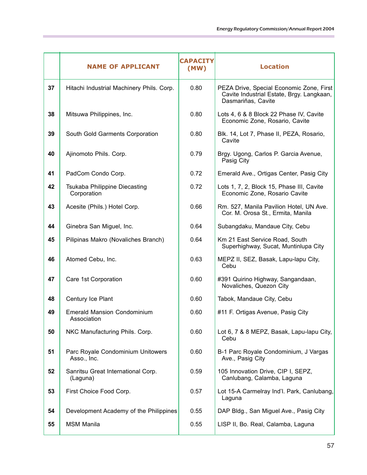|    | <b>NAME OF APPLICANT</b>                          | <b>CAPACITY</b><br>(MW) | <b>Location</b>                                                                                             |
|----|---------------------------------------------------|-------------------------|-------------------------------------------------------------------------------------------------------------|
| 37 | Hitachi Industrial Machinery Phils. Corp.         | 0.80                    | PEZA Drive, Special Economic Zone, First<br>Cavite Industrial Estate, Brgy. Langkaan,<br>Dasmariñas, Cavite |
| 38 | Mitsuwa Philippines, Inc.                         | 0.80                    | Lots 4, 6 & 8 Block 22 Phase IV, Cavite<br>Economic Zone, Rosario, Cavite                                   |
| 39 | South Gold Garments Corporation                   | 0.80                    | Blk. 14, Lot 7, Phase II, PEZA, Rosario,<br>Cavite                                                          |
| 40 | Ajinomoto Phils. Corp.                            | 0.79                    | Brgy. Ugong, Carlos P. Garcia Avenue,<br>Pasig City                                                         |
| 41 | PadCom Condo Corp.                                | 0.72                    | Emerald Ave., Ortigas Center, Pasig City                                                                    |
| 42 | Tsukaba Philippine Diecasting<br>Corporation      | 0.72                    | Lots 1, 7, 2, Block 15, Phase III, Cavite<br>Economic Zone, Rosario Cavite                                  |
| 43 | Acesite (Phils.) Hotel Corp.                      | 0.66                    | Rm. 527, Manila Pavilion Hotel, UN Ave.<br>Cor. M. Orosa St., Ermita, Manila                                |
| 44 | Ginebra San Miguel, Inc.                          | 0.64                    | Subangdaku, Mandaue City, Cebu                                                                              |
| 45 | Pilipinas Makro (Novaliches Branch)               | 0.64                    | Km 21 East Service Road, South<br>Superhighway, Sucat, Muntinlupa City                                      |
| 46 | Atomed Cebu, Inc.                                 | 0.63                    | MEPZ II, SEZ, Basak, Lapu-lapu City,<br>Cebu                                                                |
| 47 | Care 1st Corporation                              | 0.60                    | #391 Quirino Highway, Sangandaan,<br>Novaliches, Quezon City                                                |
| 48 | Century Ice Plant                                 | 0.60                    | Tabok, Mandaue City, Cebu                                                                                   |
| 49 | <b>Emerald Mansion Condominium</b><br>Association | 0.60                    | #11 F. Ortigas Avenue, Pasig City                                                                           |
| 50 | NKC Manufacturing Phils. Corp.                    | 0.60                    | Lot 6, 7 & 8 MEPZ, Basak, Lapu-lapu City,<br>Cebu                                                           |
| 51 | Parc Royale Condominium Unitowers<br>Asso., Inc.  | 0.60                    | B-1 Parc Royale Condominium, J Vargas<br>Ave., Pasig City                                                   |
| 52 | Sanritsu Great International Corp.<br>(Laguna)    | 0.59                    | 105 Innovation Drive, CIP I, SEPZ,<br>Canlubang, Calamba, Laguna                                            |
| 53 | First Choice Food Corp.                           | 0.57                    | Lot 15-A Carmelray Ind'l. Park, Canlubang,<br>Laguna                                                        |
| 54 | Development Academy of the Philippines            | 0.55                    | DAP Bldg., San Miguel Ave., Pasig City                                                                      |
| 55 | <b>MSM Manila</b>                                 | 0.55                    | LISP II, Bo. Real, Calamba, Laguna                                                                          |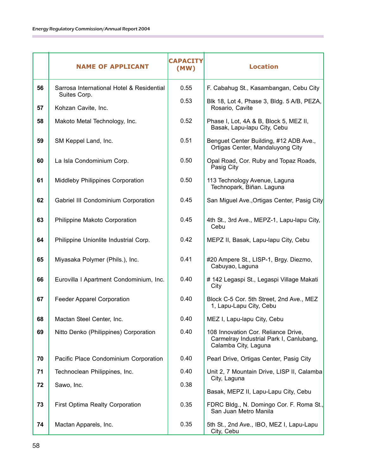|    | <b>NAME OF APPLICANT</b>                                  | <b>CAPACITY</b><br>(MW) | <b>Location</b>                                                                                        |
|----|-----------------------------------------------------------|-------------------------|--------------------------------------------------------------------------------------------------------|
| 56 | Sarrosa International Hotel & Residential<br>Suites Corp. | 0.55                    | F. Cabahug St., Kasambangan, Cebu City                                                                 |
| 57 | Kohzan Cavite, Inc.                                       | 0.53                    | Blk 18, Lot 4, Phase 3, Bldg. 5 A/B, PEZA,<br>Rosario, Cavite                                          |
| 58 | Makoto Metal Technology, Inc.                             | 0.52                    | Phase I, Lot, 4A & B, Block 5, MEZ II,<br>Basak, Lapu-lapu City, Cebu                                  |
| 59 | SM Keppel Land, Inc.                                      | 0.51                    | Benguet Center Building, #12 ADB Ave.,<br>Ortigas Center, Mandaluyong City                             |
| 60 | La Isla Condominium Corp.                                 | 0.50                    | Opal Road, Cor. Ruby and Topaz Roads,<br>Pasig City                                                    |
| 61 | <b>Middleby Philippines Corporation</b>                   | 0.50                    | 113 Technology Avenue, Laguna<br>Technopark, Biñan. Laguna                                             |
| 62 | Gabriel III Condominium Corporation                       | 0.45                    | San Miguel Ave., Ortigas Center, Pasig City                                                            |
| 63 | Philippine Makoto Corporation                             | 0.45                    | 4th St., 3rd Ave., MEPZ-1, Lapu-lapu City,<br>Cebu                                                     |
| 64 | Philippine Unionlite Industrial Corp.                     | 0.42                    | MEPZ II, Basak, Lapu-lapu City, Cebu                                                                   |
| 65 | Miyasaka Polymer (Phils.), Inc.                           | 0.41                    | #20 Ampere St., LISP-1, Brgy. Diezmo,<br>Cabuyao, Laguna                                               |
| 66 | Eurovilla I Apartment Condominium, Inc.                   | 0.40                    | # 142 Legaspi St., Legaspi Village Makati<br>City                                                      |
| 67 | <b>Feeder Apparel Corporation</b>                         | 0.40                    | Block C-5 Cor. 5th Street, 2nd Ave., MEZ<br>1, Lapu-Lapu City, Cebu                                    |
| 68 | Mactan Steel Center, Inc.                                 | 0.40                    | MEZ I, Lapu-lapu City, Cebu                                                                            |
| 69 | Nitto Denko (Philippines) Corporation                     | 0.40                    | 108 Innovation Cor. Reliance Drive,<br>Carmelray Industrial Park I, Canlubang,<br>Calamba City, Laguna |
| 70 | Pacific Place Condominium Corporation                     | 0.40                    | Pearl Drive, Ortigas Center, Pasig City                                                                |
| 71 | Technoclean Philippines, Inc.                             | 0.40                    | Unit 2, 7 Mountain Drive, LISP II, Calamba<br>City, Laguna                                             |
| 72 | Sawo, Inc.                                                | 0.38                    | Basak, MEPZ II, Lapu-Lapu City, Cebu                                                                   |
| 73 | First Optima Realty Corporation                           | 0.35                    | FDRC Bldg., N. Domingo Cor. F. Roma St.,<br>San Juan Metro Manila                                      |
| 74 | Mactan Apparels, Inc.                                     | 0.35                    | 5th St., 2nd Ave., IBO, MEZ I, Lapu-Lapu<br>City, Cebu                                                 |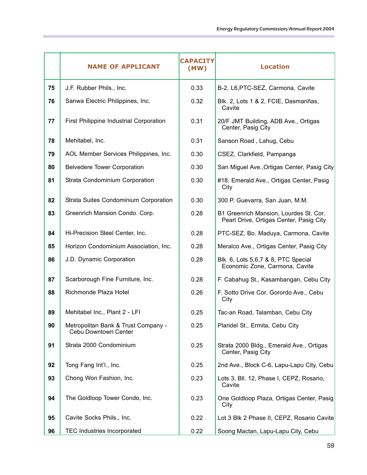|    | <b>NAME OF APPLICANT</b>                                    | <b>CAPACITY</b><br>(MW) | <b>Location</b>                                                                   |
|----|-------------------------------------------------------------|-------------------------|-----------------------------------------------------------------------------------|
| 75 | J.F. Rubber Phils., Inc.                                    | 0.33                    | B-2, L6, PTC-SEZ, Carmona, Cavite                                                 |
| 76 | Sanwa Electric Philippines, Inc.                            | 0.32                    | Blk. 2, Lots 1 & 2, FCIE, Dasmariñas,<br>Cavite                                   |
| 77 | First Philippine Industrial Corporation                     | 0.31                    | 20/F JMT Building, ADB Ave., Ortigas<br>Center, Pasig City                        |
| 78 | Mehitabel, Inc.                                             | 0.31                    | Sanson Road, Lahug, Cebu                                                          |
| 79 | AOL Member Services Philippines, Inc.                       | 0.30                    | CSEZ, Clarkfield, Pampanga                                                        |
| 80 | <b>Belvedere Tower Corporation</b>                          | 0.30                    | San Miguel Ave., Ortigas Center, Pasig City                                       |
| 81 | Strata Condominium Corporation                              | 0.30                    | #18, Emerald Ave., Ortigas Center, Pasig<br>City                                  |
| 82 | Strata Suites Condominium Corporation                       | 0.30                    | 300 P. Guevarra, San Juan, M.M.                                                   |
| 83 | Greenrich Mansion Condo. Corp.                              | 0.28                    | B1 Greenrich Mansion, Lourdes St. Cor.<br>Pearl Drive, Ortigas Center, Pasig City |
| 84 | Hi-Precision Steel Center, Inc.                             | 0.28                    | PTC-SEZ, Bo. Maduya, Carmona, Cavite                                              |
| 85 | Horizon Condominium Association, Inc.                       | 0.28                    | Meralco Ave., Ortigas Center, Pasig City                                          |
| 86 | J.D. Dynamic Corporation                                    | 0.28                    | Blk. 6, Lots 5,6,7 & 8, PTC Special<br>Economic Zone, Carmona, Cavite             |
| 87 | Scarborough Fine Furniture, Inc.                            | 0.28                    | F. Cabahug St., Kasambangan, Cebu City                                            |
| 88 | Richmonde Plaza Hotel                                       | 0.26                    | F. Sotto Drive Cor. Gorordo Ave., Cebu<br>City                                    |
| 89 | Mehitabel Inc., Plant 2 - LFI                               | 0.25                    | Tac-an Road, Talamban, Cebu City                                                  |
| 90 | Metropolitan Bank & Trust Company -<br>Cebu Downtown Center | 0.25                    | Plaridel St., Ermita, Cebu City                                                   |
| 91 | Strata 2000 Condominium                                     | 0.25                    | Strata 2000 Bldg., Emerald Ave., Ortigas<br>Center, Pasig City                    |
| 92 | Tong Fang Int'l., Inc.                                      | 0.25                    | 2nd Ave., Block C-6, Lapu-Lapu City, Cebu                                         |
| 93 | Chong Won Fashion, Inc.                                     | 0.23                    | Lots 3, Bll. 12, Phase I, CEPZ, Rosario,<br>Cavite                                |
| 94 | The Goldloop Tower Condo, Inc.                              | 0.23                    | One Goldloop Plaza, Ortigas Center, Pasig<br>City                                 |
| 95 | Cavite Socks Phils., Inc.                                   | 0.22                    | Lot 3 Blk 2 Phase II, CEPZ, Rosario Cavite                                        |
| 96 | <b>TEC Industries Incorporated</b>                          | 0.22                    | Soong Mactan, Lapu-Lapu City, Cebu                                                |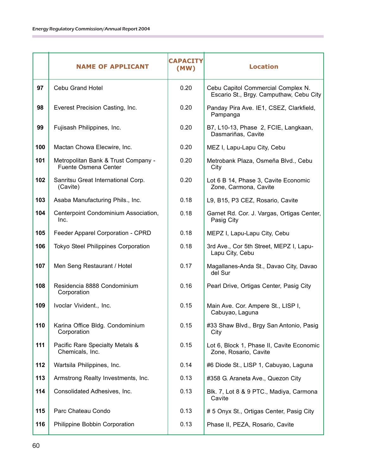|     | <b>NAME OF APPLICANT</b>                                    | <b>CAPACITY</b><br>(MW) | <b>Location</b>                                                               |
|-----|-------------------------------------------------------------|-------------------------|-------------------------------------------------------------------------------|
| 97  | Cebu Grand Hotel                                            | 0.20                    | Cebu Capitol Commercial Complex N.<br>Escario St., Brgy. Camputhaw, Cebu City |
| 98  | Everest Precision Casting, Inc.                             | 0.20                    | Panday Pira Ave. IE1, CSEZ, Clarkfield,<br>Pampanga                           |
| 99  | Fujisash Philippines, Inc.                                  | 0.20                    | B7, L10-13, Phase 2, FCIE, Langkaan,<br>Dasmariñas, Cavite                    |
| 100 | Mactan Chowa Elecwire, Inc.                                 | 0.20                    | MEZ I, Lapu-Lapu City, Cebu                                                   |
| 101 | Metropolitan Bank & Trust Company -<br>Fuente Osmena Center | 0.20                    | Metrobank Plaza, Osmeña Blvd., Cebu<br>City                                   |
| 102 | Sanritsu Great International Corp.<br>(Cavite)              | 0.20                    | Lot 6 B 14, Phase 3, Cavite Economic<br>Zone, Carmona, Cavite                 |
| 103 | Asaba Manufacturing Phils., Inc.                            | 0.18                    | L9, B15, P3 CEZ, Rosario, Cavite                                              |
| 104 | Centerpoint Condominium Association,<br>Inc.                | 0.18                    | Garnet Rd. Cor. J. Vargas, Ortigas Center,<br>Pasig City                      |
| 105 | Feeder Apparel Corporation - CPRD                           | 0.18                    | MEPZ I, Lapu-Lapu City, Cebu                                                  |
| 106 | <b>Tokyo Steel Philippines Corporation</b>                  | 0.18                    | 3rd Ave., Cor 5th Street, MEPZ I, Lapu-<br>Lapu City, Cebu                    |
| 107 | Men Seng Restaurant / Hotel                                 | 0.17                    | Magallanes-Anda St., Davao City, Davao<br>del Sur                             |
| 108 | Residencia 8888 Condominium<br>Corporation                  | 0.16                    | Pearl Drive, Ortigas Center, Pasig City                                       |
| 109 | Ivoclar Vivident., Inc.                                     | 0.15                    | Main Ave. Cor. Ampere St., LISP I,<br>Cabuyao, Laguna                         |
| 110 | Karina Office Bldg. Condominium<br>Corporation              | 0.15                    | #33 Shaw Blvd., Brgy San Antonio, Pasig<br>City                               |
| 111 | Pacific Rare Specialty Metals &<br>Chemicals, Inc.          | 0.15                    | Lot 6, Block 1, Phase II, Cavite Economic<br>Zone, Rosario, Cavite            |
| 112 | Wartsila Philippines, Inc.                                  | 0.14                    | #6 Diode St., LISP 1, Cabuyao, Laguna                                         |
| 113 | Armstrong Realty Investments, Inc.                          | 0.13                    | #358 G. Araneta Ave., Quezon City                                             |
| 114 | Consolidated Adhesives, Inc.                                | 0.13                    | Blk. 7, Lot 8 & 9 PTC., Madiya, Carmona<br>Cavite                             |
| 115 | Parc Chateau Condo                                          | 0.13                    | # 5 Onyx St., Ortigas Center, Pasig City                                      |
| 116 | Philippine Bobbin Corporation                               | 0.13                    | Phase II, PEZA, Rosario, Cavite                                               |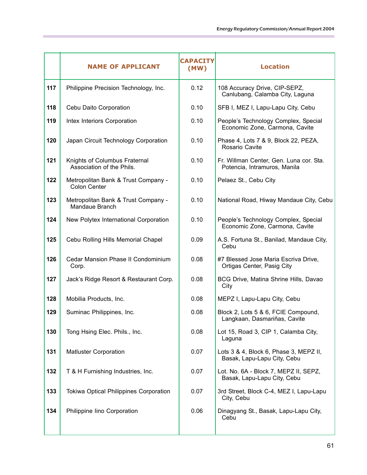|     | <b>NAME OF APPLICANT</b>                                   | <b>CAPACITY</b><br>(MW) | <b>Location</b>                                                         |
|-----|------------------------------------------------------------|-------------------------|-------------------------------------------------------------------------|
| 117 | Philippine Precision Technology, Inc.                      | 0.12                    | 108 Accuracy Drive, CIP-SEPZ,<br>Canlubang, Calamba City, Laguna        |
| 118 | Cebu Daito Corporation                                     | 0.10                    | SFB I, MEZ I, Lapu-Lapu City, Cebu                                      |
| 119 | Intex Interiors Corporation                                | 0.10                    | People's Technology Complex, Special<br>Economic Zone, Carmona, Cavite  |
| 120 | Japan Circuit Technology Corporation                       | 0.10                    | Phase 4, Lots 7 & 9, Block 22, PEZA,<br>Rosario Cavite                  |
| 121 | Knights of Columbus Fraternal<br>Association of the Phils. | 0.10                    | Fr. Willman Center, Gen. Luna cor. Sta.<br>Potencia, Intramuros, Manila |
| 122 | Metropolitan Bank & Trust Company -<br><b>Colon Center</b> | 0.10                    | Pelaez St., Cebu City                                                   |
| 123 | Metropolitan Bank & Trust Company -<br>Mandaue Branch      | 0.10                    | National Road, Hiway Mandaue City, Cebu                                 |
| 124 | New Polytex International Corporation                      | 0.10                    | People's Technology Complex, Special<br>Economic Zone, Carmona, Cavite  |
| 125 | Cebu Rolling Hills Memorial Chapel                         | 0.09                    | A.S. Fortuna St., Banilad, Mandaue City,<br>Cebu                        |
| 126 | Cedar Mansion Phase II Condominium<br>Corp.                | 0.08                    | #7 Blessed Jose Maria Escriva Drive,<br>Ortigas Center, Pasig City      |
| 127 | Jack's Ridge Resort & Restaurant Corp.                     | 0.08                    | BCG Drive, Matina Shrine Hills, Davao<br>City                           |
| 128 | Mobilia Products, Inc.                                     | 0.08                    | MEPZ I, Lapu-Lapu City, Cebu                                            |
| 129 | Suminac Philippines, Inc.                                  | 0.08                    | Block 2, Lots 5 & 6, FCIE Compound,<br>Langkaan, Dasmariñas, Cavite     |
| 130 | Tong Hsing Elec. Phils., Inc.                              | 0.08                    | Lot 15, Road 3, CIP 1, Calamba City,<br>Laguna                          |
| 131 | <b>Matluster Corporation</b>                               | 0.07                    | Lots 3 & 4, Block 6, Phase 3, MEPZ II,<br>Basak, Lapu-Lapu City, Cebu   |
| 132 | T & H Furnishing Industries, Inc.                          | 0.07                    | Lot. No. 6A - Block 7, MEPZ II, SEPZ,<br>Basak, Lapu-Lapu City, Cebu    |
| 133 | Tokiwa Optical Philippines Corporation                     | 0.07                    | 3rd Street, Block C-4, MEZ I, Lapu-Lapu<br>City, Cebu                   |
| 134 | Philippine lino Corporation                                | 0.06                    | Dinagyang St., Basak, Lapu-Lapu City,<br>Cebu                           |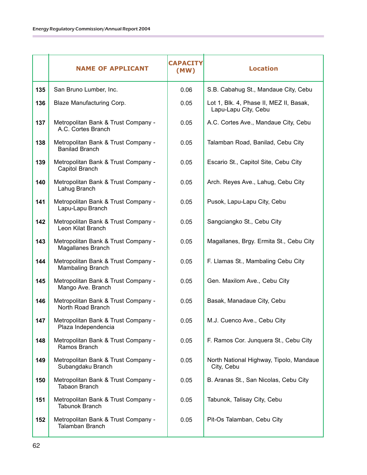|     | <b>NAME OF APPLICANT</b>                                      | <b>CAPACITY</b><br>(MW) | <b>Location</b>                                                 |
|-----|---------------------------------------------------------------|-------------------------|-----------------------------------------------------------------|
| 135 | San Bruno Lumber, Inc.                                        | 0.06                    | S.B. Cabahug St., Mandaue City, Cebu                            |
| 136 | Blaze Manufacturing Corp.                                     | 0.05                    | Lot 1, Blk. 4, Phase II, MEZ II, Basak,<br>Lapu-Lapu City, Cebu |
| 137 | Metropolitan Bank & Trust Company -<br>A.C. Cortes Branch     | 0.05                    | A.C. Cortes Ave., Mandaue City, Cebu                            |
| 138 | Metropolitan Bank & Trust Company -<br><b>Banilad Branch</b>  | 0.05                    | Talamban Road, Banilad, Cebu City                               |
| 139 | Metropolitan Bank & Trust Company -<br>Capitol Branch         | 0.05                    | Escario St., Capitol Site, Cebu City                            |
| 140 | Metropolitan Bank & Trust Company -<br>Lahug Branch           | 0.05                    | Arch. Reyes Ave., Lahug, Cebu City                              |
| 141 | Metropolitan Bank & Trust Company -<br>Lapu-Lapu Branch       | 0.05                    | Pusok, Lapu-Lapu City, Cebu                                     |
| 142 | Metropolitan Bank & Trust Company -<br>Leon Kilat Branch      | 0.05                    | Sangciangko St., Cebu City                                      |
| 143 | Metropolitan Bank & Trust Company -<br>Magallanes Branch      | 0.05                    | Magallanes, Brgy. Ermita St., Cebu City                         |
| 144 | Metropolitan Bank & Trust Company -<br>Mambaling Branch       | 0.05                    | F. Llamas St., Mambaling Cebu City                              |
| 145 | Metropolitan Bank & Trust Company -<br>Mango Ave. Branch      | 0.05                    | Gen. Maxilom Ave., Cebu City                                    |
| 146 | Metropolitan Bank & Trust Company -<br>North Road Branch      | 0.05                    | Basak, Manadaue City, Cebu                                      |
| 147 | Metropolitan Bank & Trust Company -<br>Plaza Independencia    | 0.05                    | M.J. Cuenco Ave., Cebu City                                     |
| 148 | Metropolitan Bank & Trust Company -<br>Ramos Branch           | 0.05                    | F. Ramos Cor. Junquera St., Cebu City                           |
| 149 | Metropolitan Bank & Trust Company -<br>Subangdaku Branch      | 0.05                    | North National Highway, Tipolo, Mandaue<br>City, Cebu           |
| 150 | Metropolitan Bank & Trust Company -<br><b>Tabaon Branch</b>   | 0.05                    | B. Aranas St., San Nicolas, Cebu City                           |
| 151 | Metropolitan Bank & Trust Company -<br><b>Tabunok Branch</b>  | 0.05                    | Tabunok, Talisay City, Cebu                                     |
| 152 | Metropolitan Bank & Trust Company -<br><b>Talamban Branch</b> | 0.05                    | Pit-Os Talamban, Cebu City                                      |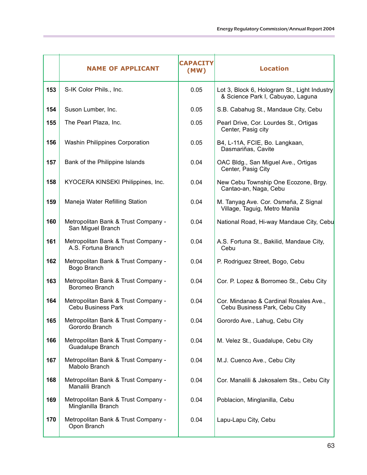|     | <b>NAME OF APPLICANT</b>                                         | <b>CAPACITY</b><br>(MW) | <b>Location</b>                                                                   |
|-----|------------------------------------------------------------------|-------------------------|-----------------------------------------------------------------------------------|
| 153 | S-IK Color Phils., Inc.                                          | 0.05                    | Lot 3, Block 6, Hologram St., Light Industry<br>& Science Park I, Cabuyao, Laguna |
| 154 | Suson Lumber, Inc.                                               | 0.05                    | S.B. Cabahug St., Mandaue City, Cebu                                              |
| 155 | The Pearl Plaza, Inc.                                            | 0.05                    | Pearl Drive, Cor. Lourdes St., Ortigas<br>Center, Pasig city                      |
| 156 | Washin Philippines Corporation                                   | 0.05                    | B4, L-11A, FCIE, Bo. Langkaan,<br>Dasmariñas, Cavite                              |
| 157 | Bank of the Philippine Islands                                   | 0.04                    | OAC Bldg., San Miguel Ave., Ortigas<br>Center, Pasig City                         |
| 158 | KYOCERA KINSEKI Philippines, Inc.                                | 0.04                    | New Cebu Township One Ecozone, Brgy.<br>Cantao-an, Naga, Cebu                     |
| 159 | Maneja Water Refilling Station                                   | 0.04                    | M. Tanyag Ave. Cor. Osmeña, Z Signal<br>Village, Taguig, Metro Manila             |
| 160 | Metropolitan Bank & Trust Company -<br>San Miguel Branch         | 0.04                    | National Road, Hi-way Mandaue City, Cebu                                          |
| 161 | Metropolitan Bank & Trust Company -<br>A.S. Fortuna Branch       | 0.04                    | A.S. Fortuna St., Bakilid, Mandaue City,<br>Cebu                                  |
| 162 | Metropolitan Bank & Trust Company -<br>Bogo Branch               | 0.04                    | P. Rodriguez Street, Bogo, Cebu                                                   |
| 163 | Metropolitan Bank & Trust Company -<br>Boromeo Branch            | 0.04                    | Cor. P. Lopez & Borromeo St., Cebu City                                           |
| 164 | Metropolitan Bank & Trust Company -<br><b>Cebu Business Park</b> | 0.04                    | Cor. Mindanao & Cardinal Rosales Ave.,<br>Cebu Business Park, Cebu City           |
| 165 | Metropolitan Bank & Trust Company -<br>Gorordo Branch            | 0.04                    | Gorordo Ave., Lahug, Cebu City                                                    |
| 166 | Metropolitan Bank & Trust Company -<br>Guadalupe Branch          | 0.04                    | M. Velez St., Guadalupe, Cebu City                                                |
| 167 | Metropolitan Bank & Trust Company -<br>Mabolo Branch             | 0.04                    | M.J. Cuenco Ave., Cebu City                                                       |
| 168 | Metropolitan Bank & Trust Company -<br>Manalili Branch           | 0.04                    | Cor. Manalili & Jakosalem Sts., Cebu City                                         |
| 169 | Metropolitan Bank & Trust Company -<br>Minglanilla Branch        | 0.04                    | Poblacion, Minglanilla, Cebu                                                      |
| 170 | Metropolitan Bank & Trust Company -<br>Opon Branch               | 0.04                    | Lapu-Lapu City, Cebu                                                              |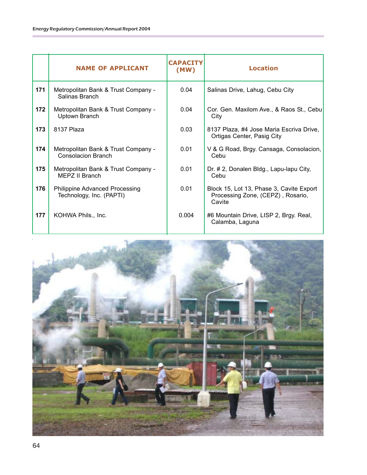|     | <b>NAME OF APPLICANT</b>                                         | <b>CAPACITY</b><br>(MW) | <b>Location</b>                                                                         |
|-----|------------------------------------------------------------------|-------------------------|-----------------------------------------------------------------------------------------|
| 171 | Metropolitan Bank & Trust Company -<br>Salinas Branch            | 0.04                    | Salinas Drive, Lahug, Cebu City                                                         |
| 172 | Metropolitan Bank & Trust Company -<br>Uptown Branch             | 0.04                    | Cor. Gen. Maxilom Ave., & Raos St., Cebu<br>City                                        |
| 173 | 8137 Plaza                                                       | 0.03                    | 8137 Plaza, #4 Jose Maria Escriva Drive,<br>Ortigas Center, Pasig City                  |
| 174 | Metropolitan Bank & Trust Company -<br><b>Consolacion Branch</b> | 0.01                    | V & G Road, Brgy. Cansaga, Consolacion,<br>Cebu                                         |
| 175 | Metropolitan Bank & Trust Company -<br><b>MEPZ II Branch</b>     | 0.01                    | Dr. # 2, Donalen Bldg., Lapu-lapu City,<br>Cebu                                         |
| 176 | Philippine Advanced Processing<br>Technology, Inc. (PAPTI)       | 0.01                    | Block 15, Lot 13, Phase 3, Cavite Export<br>Processing Zone, (CEPZ), Rosario,<br>Cavite |
| 177 | KOHWA Phils., Inc.                                               | 0.004                   | #6 Mountain Drive, LISP 2, Brgy. Real,<br>Calamba, Laguna                               |

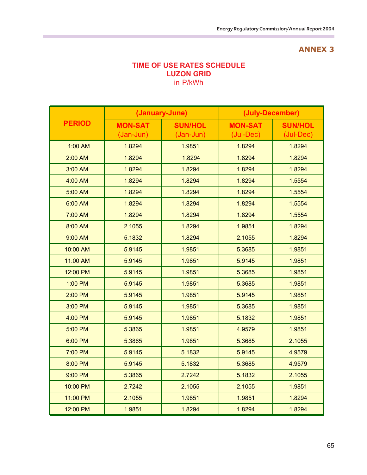#### **TIME OF USE RATES SCHEDULE LUZON GRID** in P/kWh

|                   |                               | (January-June)                | (July-December)             |                             |  |
|-------------------|-------------------------------|-------------------------------|-----------------------------|-----------------------------|--|
| <b>PERIOD</b>     | <b>MON-SAT</b><br>$(Jan-Jun)$ | <b>SUN/HOL</b><br>$(Jan-Jun)$ | <b>MON-SAT</b><br>(Jul-Dec) | <b>SUN/HOL</b><br>(Jul-Dec) |  |
| 1:00 AM           | 1.8294                        | 1.9851                        | 1.8294                      | 1.8294                      |  |
| 2:00 AM           | 1.8294                        | 1.8294                        | 1.8294                      | 1.8294                      |  |
| 3:00 AM           | 1.8294                        | 1.8294                        | 1.8294                      | 1.8294                      |  |
| 4:00 AM           | 1.8294                        | 1.8294                        | 1.8294                      | 1.5554                      |  |
| 5:00 AM           | 1.8294                        | 1.8294                        | 1.8294                      | 1.5554                      |  |
| 6:00 AM           | 1.8294                        | 1.8294                        | 1.8294                      | 1.5554                      |  |
| 7:00 AM           | 1.8294                        | 1.8294                        | 1.8294                      | 1.5554                      |  |
| 8:00 AM           | 2.1055                        | 1.8294                        | 1.9851                      | 1.8294                      |  |
| 9:00 AM<br>5.1832 |                               | 1.8294                        | 2.1055                      | 1.8294                      |  |
| 10:00 AM          | 5.9145<br>1.9851<br>5.3685    |                               | 1.9851                      |                             |  |
| 11:00 AM          | 5.9145                        | 1.9851                        | 5.9145                      | 1.9851                      |  |
| 12:00 PM          | 5.9145                        | 1.9851                        | 5.3685<br>5.3685            | 1.9851                      |  |
| 1:00 PM           | 5.9145                        | 1.9851                        |                             | 1.9851                      |  |
| 2:00 PM           | 5.9145                        | 1.9851                        | 5.9145                      | 1.9851                      |  |
| 3:00 PM           | 5.9145                        | 1.9851                        | 5.3685                      | 1.9851                      |  |
| 4:00 PM           | 5.9145                        | 1.9851                        | 5.1832                      | 1.9851                      |  |
| 5:00 PM           | 5.3865                        | 1.9851                        | 4.9579                      | 1.9851                      |  |
| 6:00 PM           | 5.3865                        | 1.9851                        | 5.3685                      | 2.1055                      |  |
| 7:00 PM           | 5.9145                        | 5.1832                        | 5.9145                      | 4.9579                      |  |
| 8:00 PM           | 5.9145                        | 5.1832                        | 5.3685                      | 4.9579                      |  |
| 9:00 PM           | 5.3865                        | 2.7242                        | 5.1832                      | 2.1055                      |  |
| 10:00 PM          | 2.7242                        | 2.1055                        | 2.1055                      | 1.9851                      |  |
| 11:00 PM          | 2.1055                        | 1.9851                        | 1.9851                      | 1.8294                      |  |
| 12:00 PM          | 1.9851                        | 1.8294                        | 1.8294                      | 1.8294                      |  |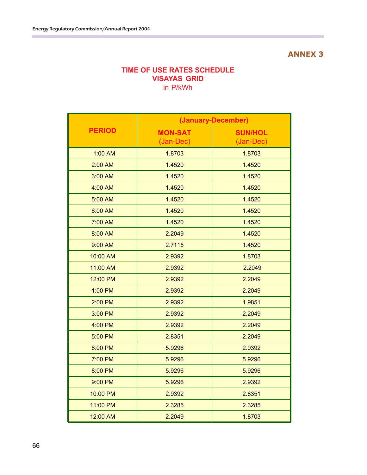#### **TIME OF USE RATES SCHEDULE VISAYAS GRID** in P/kWh

|               | (January-December)          |                             |  |  |
|---------------|-----------------------------|-----------------------------|--|--|
| <b>PERIOD</b> | <b>MON-SAT</b><br>(Jan-Dec) | <b>SUN/HOL</b><br>(Jan-Dec) |  |  |
| 1:00 AM       | 1.8703                      | 1.8703                      |  |  |
| 2:00 AM       | 1.4520                      | 1.4520                      |  |  |
| 3:00 AM       | 1.4520                      | 1.4520                      |  |  |
| 4:00 AM       | 1.4520                      | 1.4520                      |  |  |
| 5:00 AM       | 1.4520                      | 1.4520                      |  |  |
| 6:00 AM       | 1.4520                      | 1.4520                      |  |  |
| 7:00 AM       | 1.4520                      | 1.4520                      |  |  |
| 8:00 AM       | 2.2049                      | 1.4520                      |  |  |
| 9:00 AM       | 2.7115                      | 1.4520                      |  |  |
| 10:00 AM      | 2.9392                      | 1.8703                      |  |  |
| 11:00 AM      | 2.9392                      | 2.2049                      |  |  |
| 12:00 PM      | 2.9392                      | 2.2049                      |  |  |
| 1:00 PM       | 2.9392                      | 2.2049                      |  |  |
| 2:00 PM       | 2.9392                      | 1.9851                      |  |  |
| 3:00 PM       | 2.9392                      | 2.2049                      |  |  |
| 4:00 PM       | 2.9392                      | 2.2049                      |  |  |
| 5:00 PM       | 2.8351                      | 2.2049                      |  |  |
| 6:00 PM       | 5.9296                      | 2.9392                      |  |  |
| 7:00 PM       | 5.9296                      | 5.9296                      |  |  |
| 8:00 PM       | 5.9296                      | 5.9296                      |  |  |
| 9:00 PM       | 5.9296                      | 2.9392                      |  |  |
| 10:00 PM      | 2.9392                      | 2.8351                      |  |  |
| 11:00 PM      | 2.3285                      | 2.3285                      |  |  |
| 12:00 AM      | 2.2049                      | 1.8703                      |  |  |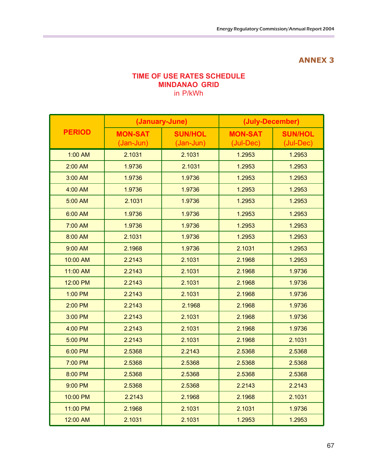#### **TIME OF USE RATES SCHEDULE MINDANAO GRID** in P/kWh

|               | (January-June)                |                                                            | (July-December) |                             |  |
|---------------|-------------------------------|------------------------------------------------------------|-----------------|-----------------------------|--|
| <b>PERIOD</b> | <b>MON-SAT</b><br>$(Jan-Jun)$ | <b>SUN/HOL</b><br><b>MON-SAT</b><br>(Jan-Jun)<br>(Jul-Dec) |                 | <b>SUN/HOL</b><br>(Jul-Dec) |  |
| 1:00 AM       | 2.1031                        | 2.1031                                                     | 1.2953          | 1.2953                      |  |
| 2:00 AM       | 1.9736                        | 2.1031                                                     | 1.2953          | 1.2953                      |  |
| 3:00 AM       | 1.9736                        | 1.9736                                                     | 1.2953          | 1.2953                      |  |
| 4:00 AM       | 1.9736                        | 1.9736                                                     | 1.2953          | 1.2953                      |  |
| 5:00 AM       | 2.1031                        | 1.9736                                                     | 1.2953          | 1.2953                      |  |
| 6:00 AM       | 1.9736                        | 1.9736                                                     | 1.2953          | 1.2953                      |  |
| 7:00 AM       | 1.9736                        | 1.9736                                                     | 1.2953          | 1.2953                      |  |
| 8:00 AM       | 2.1031                        | 1.9736                                                     | 1.2953          | 1.2953                      |  |
| $9:00$ AM     | 2.1968                        | 1.9736                                                     | 2.1031          | 1.2953                      |  |
| 10:00 AM      | 2.2143                        | 2.1031                                                     | 2.1968          | 1.2953                      |  |
| 11:00 AM      | 2.2143                        | 2.1031                                                     | 2.1968          | 1.9736                      |  |
| 12:00 PM      | 2.2143                        | 2.1031                                                     | 2.1968          | 1.9736                      |  |
| 1:00 PM       | 2.2143                        | 2.1031                                                     | 2.1968          | 1.9736                      |  |
| 2:00 PM       | 2.2143                        | 2.1968                                                     | 2.1968          | 1.9736                      |  |
| 3:00 PM       | 2.2143                        | 2.1031                                                     | 2.1968          | 1.9736                      |  |
| 4:00 PM       | 2.2143                        | 2.1031                                                     | 2.1968          | 1.9736                      |  |
| 5:00 PM       | 2.2143                        | 2.1031                                                     | 2.1968          | 2.1031                      |  |
| 6:00 PM       | 2.5368                        | 2.2143                                                     | 2.5368          | 2.5368                      |  |
| 7:00 PM       | 2.5368                        | 2.5368                                                     | 2.5368          | 2.5368                      |  |
| 8:00 PM       | 2.5368                        | 2.5368                                                     | 2.5368          | 2.5368                      |  |
| 9:00 PM       | 2.5368                        | 2.5368                                                     | 2.2143          | 2.2143                      |  |
| 10:00 PM      | 2.2143                        | 2.1968                                                     | 2.1968          | 2.1031                      |  |
| 11:00 PM      | 2.1968                        | 2.1031                                                     | 2.1031          | 1.9736                      |  |
| 12:00 AM      | 2.1031                        | 2.1031                                                     | 1.2953          | 1.2953                      |  |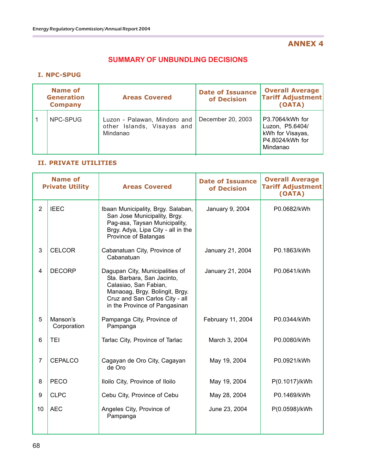#### **SUMMARY OF UNBUNDLING DECISIONS**

#### **I. NPC-SPUG**

| <b>Name of</b><br><b>Generation</b><br><b>Company</b> |          | <b>Areas Covered</b>                                                   | <b>Date of Issuance</b><br>of Decision | <b>Overall Average</b><br><b>Tariff Adjustment</b><br>(OATA)                          |
|-------------------------------------------------------|----------|------------------------------------------------------------------------|----------------------------------------|---------------------------------------------------------------------------------------|
|                                                       | NPC-SPUG | Luzon - Palawan, Mindoro and<br>other Islands, Visayas and<br>Mindanao | December 20, 2003                      | P3.7064/kWh for<br>Luzon, P5.6404/<br>kWh for Visayas,<br>P4.8024/kWh for<br>Mindanao |

#### **II. PRIVATE UTILITIES**

| <b>Name of</b><br><b>Private Utility</b> |                         | <b>Areas Covered</b>                                                                                                                                                                        | <b>Date of Issuance</b><br>of Decision | <b>Overall Average</b><br><b>Tariff Adjustment</b><br>(OATA) |
|------------------------------------------|-------------------------|---------------------------------------------------------------------------------------------------------------------------------------------------------------------------------------------|----------------------------------------|--------------------------------------------------------------|
| 2                                        | <b>IEEC</b>             | Ibaan Municipality, Brgy. Salaban,<br>San Jose Municipality, Brgy.<br>Pag-asa, Taysan Municipality,<br>Brgy. Adya, Lipa City - all in the<br>Province of Batangas                           | January 9, 2004                        | P0.0682/kWh                                                  |
| 3                                        | <b>CELCOR</b>           | Cabanatuan City, Province of<br>Cabanatuan                                                                                                                                                  | January 21, 2004                       | P0.1863/kWh                                                  |
| $\overline{4}$                           | <b>DECORP</b>           | Dagupan City, Municipalities of<br>Sta. Barbara, San Jacinto,<br>Calasiao, San Fabian,<br>Manaoag, Brgy. Bolingit, Brgy.<br>Cruz and San Carlos City - all<br>in the Province of Pangasinan | January 21, 2004                       | P0.0641/kWh                                                  |
| 5                                        | Manson's<br>Corporation | Pampanga City, Province of<br>Pampanga                                                                                                                                                      | February 11, 2004                      | P0.0344/kWh                                                  |
| 6                                        | <b>TEI</b>              | Tarlac City, Province of Tarlac                                                                                                                                                             | March 3, 2004                          | P0.0080/kWh                                                  |
| $\overline{7}$                           | <b>CEPALCO</b>          | Cagayan de Oro City, Cagayan<br>de Oro                                                                                                                                                      | May 19, 2004                           | P0.0921/kWh                                                  |
| 8                                        | <b>PECO</b>             | Iloilo City, Province of Iloilo                                                                                                                                                             | May 19, 2004                           | P(0.1017)/kWh                                                |
| 9                                        | <b>CLPC</b>             | Cebu City, Province of Cebu                                                                                                                                                                 | May 28, 2004                           | P0.1469/kWh                                                  |
| 10                                       | <b>AEC</b>              | Angeles City, Province of<br>Pampanga                                                                                                                                                       | June 23, 2004                          | P(0.0598)/kWh                                                |
|                                          |                         |                                                                                                                                                                                             |                                        |                                                              |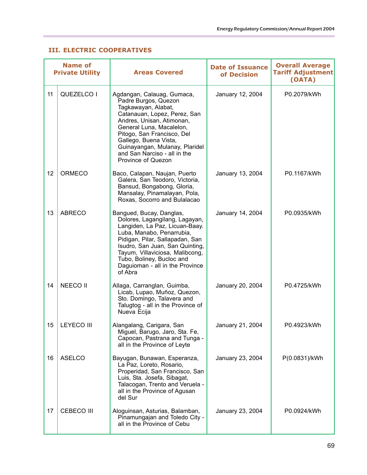#### **III. ELECTRIC COOPERATIVES**

٠

| <b>Name of</b><br><b>Private Utility</b> |                   | <b>Areas Covered</b>                                                                                                                                                                                                                                                                                              | <b>Date of Issuance</b><br>of Decision | <b>Overall Average</b><br><b>Tariff Adjustment</b><br>(OATA) |
|------------------------------------------|-------------------|-------------------------------------------------------------------------------------------------------------------------------------------------------------------------------------------------------------------------------------------------------------------------------------------------------------------|----------------------------------------|--------------------------------------------------------------|
| 11                                       | QUEZELCO I        | Agdangan, Calauag, Gumaca,<br>Padre Burgos, Quezon<br>Tagkawayan, Alabat,<br>Catanauan, Lopez, Perez, San<br>Andres, Unisan, Atimonan,<br>General Luna, Macalelon,<br>Pitogo, San Francisco, Del<br>Gallego, Buena Vista,<br>Guinayangan, Mulanay, Plaridel<br>and San Narciso - all in the<br>Province of Quezon | January 12, 2004                       | P0.2079/kWh                                                  |
| 12                                       | <b>ORMECO</b>     | Baco, Calapan, Naujan, Puerto<br>Galera, San Teodoro, Victoria,<br>Bansud, Bongabong, Gloria,<br>Mansalay, Pinamalayan, Pola,<br>Roxas, Socorro and Bulalacao                                                                                                                                                     | January 13, 2004                       | P0.1167/kWh                                                  |
| 13                                       | <b>ABRECO</b>     | Bangued, Bucay, Danglas,<br>Dolores, Lagangilang, Lagayan,<br>Langiden, La Paz, Licuan-Baay.<br>Luba, Manabo, Penarrubia,<br>Pidigan, Pilar, Sallapadan, San<br>Isudro, San Juan, San Quinting,<br>Tayum, Villaviciosa, Malibcong,<br>Tubo, Boliney, Bucloc and<br>Daguioman - all in the Province<br>of Abra     | January 14, 2004                       | P0.0935/kWh                                                  |
| 14                                       | <b>NEECO II</b>   | Allaga, Carranglan, Guimba,<br>Licab, Lupao, Muñoz, Quezon,<br>Sto. Domingo, Talavera and<br>Talugtog - all in the Province of<br>Nueva Ecija                                                                                                                                                                     | January 20, 2004                       | P0.4725/kWh                                                  |
| 15                                       | <b>LEYECO III</b> | Alangalang, Carigara, San<br>Miguel, Barugo, Jaro, Sta. Fe,<br>Capocan, Pastrana and Tunga -<br>all in the Province of Leyte                                                                                                                                                                                      | January 21, 2004                       | P0.4923/kWh                                                  |
| 16                                       | ASELCO            | Bayugan, Bunawan, Esperanza,<br>La Paz, Loreto, Rosario,<br>Properidad, San Francisco, San<br>Luis, Sta. Josefa, Sibagat,<br>Talacogan, Trento and Veruela -<br>all in the Province of Agusan<br>del Sur                                                                                                          | January 23, 2004                       | P(0.0831)/kWh                                                |
| 17                                       | <b>CEBECO III</b> | Aloguinsan, Asturias, Balamban,<br>Pinamungajan and Toledo City -<br>all in the Province of Cebu                                                                                                                                                                                                                  | January 23, 2004                       | P0.0924/kWh                                                  |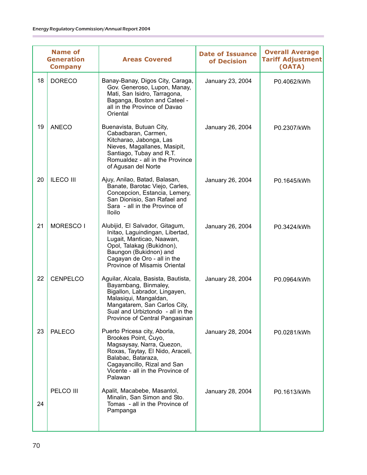| <b>Name of</b><br><b>Generation</b><br><b>Company</b> |                  | <b>Areas Covered</b>                                                                                                                                                                                                        | <b>Date of Issuance</b><br>of Decision | <b>Overall Average</b><br><b>Tariff Adjustment</b><br>(OATA) |
|-------------------------------------------------------|------------------|-----------------------------------------------------------------------------------------------------------------------------------------------------------------------------------------------------------------------------|----------------------------------------|--------------------------------------------------------------|
| 18                                                    | <b>DORECO</b>    | Banay-Banay, Digos City, Caraga,<br>Gov. Generoso, Lupon, Manay,<br>Mati, San Isidro, Tarragona,<br>Baganga, Boston and Cateel -<br>all in the Province of Davao<br>Oriental                                                | January 23, 2004                       | P0.4062/kWh                                                  |
| 19                                                    | <b>ANECO</b>     | Buenavista, Butuan City,<br>Cabadbaran, Carmen,<br>Kitcharao, Jabonga, Las<br>Nieves, Magallanes, Masipit,<br>Santiago, Tubay and R.T.<br>Romualdez - all in the Province<br>of Agusan del Norte                            | January 26, 2004                       | P0.2307/kWh                                                  |
| 20                                                    | <b>ILECO III</b> | Ajuy, Anilao, Batad, Balasan,<br>Banate, Barotac Viejo, Carles,<br>Concepcion, Estancia, Lemery,<br>San Dionisio, San Rafael and<br>Sara - all in the Province of<br><b>Iloilo</b>                                          | January 26, 2004                       | P0.1645/kWh                                                  |
| 21                                                    | MORESCO I        | Alubijid, El Salvador, Gitagum,<br>Initao, Laguindingan, Libertad,<br>Lugait, Manticao, Naawan,<br>Opol, Talakag (Bukidnon),<br>Baungon (Bukidnon) and<br>Cagayan de Oro - all in the<br>Province of Misamis Oriental       | January 26, 2004                       | P0.3424/kWh                                                  |
| 22                                                    | <b>CENPELCO</b>  | Aguilar, Alcala, Basista, Bautista,<br>Bayambang, Binmaley,<br>Bigallon, Labrador, Lingayen,<br>Malasiqui, Mangaldan,<br>Mangatarem, San Carlos City,<br>Sual and Urbiztondo - all in the<br>Province of Central Pangasinan | January 28, 2004                       | P0.0964/kWh                                                  |
| 23                                                    | <b>PALECO</b>    | Puerto Pricesa city, Aborla,<br>Brookes Point, Cuyo,<br>Magsaysay, Narra, Quezon,<br>Roxas, Taytay, El Nido, Araceli,<br>Balabac, Bataraza,<br>Cagayancillo, Rizal and San<br>Vicente - all in the Province of<br>Palawan   | January 28, 2004                       | P0.0281/kWh                                                  |
| 24                                                    | PELCO III        | Apalit, Macabebe, Masantol,<br>Minalin, San Simon and Sto.<br>Tomas - all in the Province of<br>Pampanga                                                                                                                    | January 28, 2004                       | P0.1613/kWh                                                  |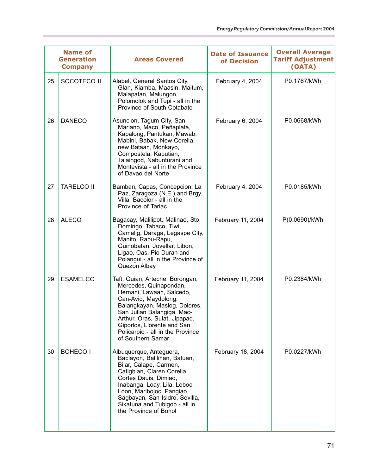| <b>Name of</b><br><b>Generation</b><br><b>Company</b> |    |                   | <b>Areas Covered</b>                                                                                                                                                                                                                                                                                  | <b>Date of Issuance</b><br>of Decision | <b>Overall Average</b><br><b>Tariff Adjustment</b><br>(OATA) |
|-------------------------------------------------------|----|-------------------|-------------------------------------------------------------------------------------------------------------------------------------------------------------------------------------------------------------------------------------------------------------------------------------------------------|----------------------------------------|--------------------------------------------------------------|
|                                                       | 25 | SOCOTECO II       | Alabel, General Santos City,<br>Glan, Kiamba, Maasin, Maitum,<br>Malapatan, Malungon,<br>Polomolok and Tupi - all in the<br>Province of South Cotabato                                                                                                                                                | February 4, 2004                       | P0.1767/kWh                                                  |
|                                                       | 26 | <b>DANECO</b>     | Asuncion, Tagum City, San<br>Mariano, Maco, Peñaplata,<br>Kapalong, Pantukan, Mawab,<br>Mabini, Babak, New Corella,<br>new Bataan, Monkayo,<br>Compostela, Kaputian,<br>Talaingod, Nabunturani and<br>Montevista - all in the Province<br>of Davao del Norte                                          | February 6, 2004                       | P0.0668/kWh                                                  |
|                                                       | 27 | <b>TARELCO II</b> | Bamban, Capas, Concepcion, La<br>Paz, Zaragoza (N.E.) and Brgy.<br>Villa, Bacolor - all in the<br>Province of Tarlac                                                                                                                                                                                  | February 4, 2004                       | P0.0185/kWh                                                  |
|                                                       | 28 | <b>ALECO</b>      | Bagacay, Malilipot, Malinao, Sto.<br>Domingo, Tabaco, Tiwi,<br>Camalig, Daraga, Legaspe City,<br>Manito, Rapu-Rapu,<br>Guinobatan, Jovellar, Libon,<br>Ligao, Oas, Pio Duran and<br>Polangui - all in the Province of<br>Quezon Albay                                                                 | February 11, 2004                      | P(0.0690)/kWh                                                |
|                                                       | 29 | <b>ESAMELCO</b>   | Taft, Guian, Arteche, Borongan,<br>Mercedes, Quinapondan,<br>Hernani, Lawaan, Salcedo,<br>Can-Avid, Maydolong,<br>Balangkayan, Maslog, Dolores,<br>San Julian Balangiga, Mac-<br>Arthur, Oras, Sulat, Jipapad,<br>Giporlos, Llorente and San<br>Policarpio - all in the Province<br>of Southern Samar | February 11, 2004                      | P0.2384/kWh                                                  |
|                                                       | 30 | BOHECO I          | Albuquerque, Anteguera,<br>Baclayon, Balilihan, Batuan,<br>Bilar, Calape, Carmen,<br>Catigbian, Claren Corella,<br>Cortes Dauis, Dimiao,<br>Inabanga, Loay, Lila, Loboc,<br>Loon, Maribojoc, Pangiao,<br>Sagbayan, San Isidro, Sevilla,<br>Sikatuna and Tubigob - all in<br>the Province of Bohol     | February 18, 2004                      | P0.0227/kWh                                                  |
|                                                       |    |                   |                                                                                                                                                                                                                                                                                                       |                                        |                                                              |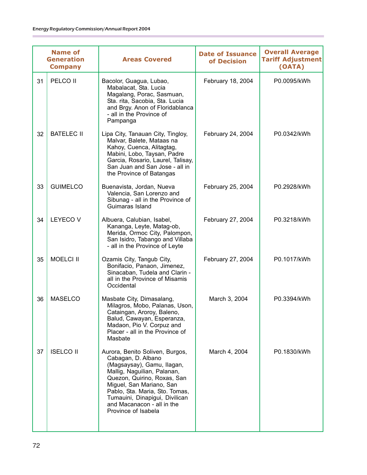| <b>Name of</b><br><b>Generation</b><br><b>Company</b> |                   | <b>Areas Covered</b>                                                                                                                                                                                                                                                                                   | <b>Date of Issuance</b><br>of Decision | <b>Overall Average</b><br><b>Tariff Adjustment</b><br>(OATA) |
|-------------------------------------------------------|-------------------|--------------------------------------------------------------------------------------------------------------------------------------------------------------------------------------------------------------------------------------------------------------------------------------------------------|----------------------------------------|--------------------------------------------------------------|
| 31                                                    | PELCO II          | Bacolor, Guagua, Lubao,<br>Mabalacat, Sta. Lucia<br>Magalang, Porac, Sasmuan,<br>Sta. rita, Sacobia, Sta. Lucia<br>and Brgy. Anon of Floridablanca<br>- all in the Province of<br>Pampanga                                                                                                             | February 18, 2004                      | P0.0095/kWh                                                  |
| 32                                                    | <b>BATELEC II</b> | Lipa City, Tanauan City, Tingloy,<br>Malvar, Balete, Mataas na<br>Kahoy, Cuenca, Alitagtag,<br>Mabini, Lobo, Taysan, Padre<br>Garcia, Rosario, Laurel, Talisay,<br>San Juan and San Jose - all in<br>the Province of Batangas                                                                          | February 24, 2004                      | P0.0342/kWh                                                  |
| 33                                                    | <b>GUIMELCO</b>   | Buenavista, Jordan, Nueva<br>Valencia, San Lorenzo and<br>Sibunag - all in the Province of<br>Guimaras Island                                                                                                                                                                                          | February 25, 2004                      | P0.2928/kWh                                                  |
| 34                                                    | <b>LEYECO V</b>   | Albuera, Calubian, Isabel,<br>Kananga, Leyte, Matag-ob,<br>Merida, Ormoc City, Palompon,<br>San Isidro, Tabango and Villaba<br>- all in the Province of Leyte                                                                                                                                          | February 27, 2004                      | P0.3218/kWh                                                  |
| 35                                                    | <b>MOELCI II</b>  | Ozamis City, Tangub City,<br>Bonifacio, Panaon, Jimenez,<br>Sinacaban, Tudela and Clarin -<br>all in the Province of Misamis<br>Occidental                                                                                                                                                             | February 27, 2004                      | P0.1017/kWh                                                  |
| 36                                                    | <b>MASELCO</b>    | Masbate City, Dimasalang,<br>Milagros, Mobo, Palanas, Uson,<br>Cataingan, Aroroy, Baleno,<br>Balud, Cawayan, Esperanza,<br>Madaon, Pio V. Corpuz and<br>Placer - all in the Province of<br>Masbate                                                                                                     | March 3, 2004                          | P0.3394/kWh                                                  |
| 37                                                    | <b>ISELCO II</b>  | Aurora, Benito Soliven, Burgos,<br>Cabagan, D. Albano<br>(Magsaysay), Gamu, Ilagan,<br>Mallig, Naguilian, Palanan,<br>Quezon, Quirino, Roxas, San<br>Miguel, San Mariano, San<br>Pablo, Sta. Maria, Sto. Tomas,<br>Tumauini, Dinapigui, Divilican<br>and Macanacon - all in the<br>Province of Isabela | March 4, 2004                          | P0.1830/kWh                                                  |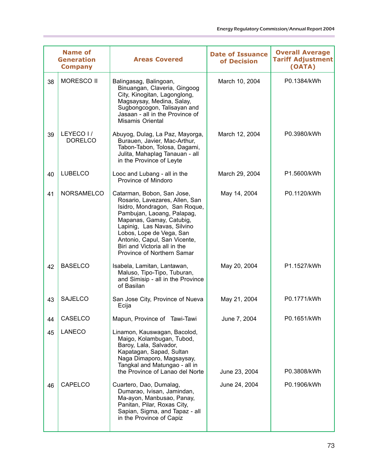|  |    | <b>Name of</b><br><b>Generation</b><br><b>Company</b> | <b>Areas Covered</b>                                                                                                                                                                                                                                                                                             | <b>Date of Issuance</b><br>of Decision | <b>Overall Average</b><br><b>Tariff Adjustment</b><br>(OATA) |
|--|----|-------------------------------------------------------|------------------------------------------------------------------------------------------------------------------------------------------------------------------------------------------------------------------------------------------------------------------------------------------------------------------|----------------------------------------|--------------------------------------------------------------|
|  | 38 | <b>MORESCO II</b>                                     | Balingasag, Balingoan,<br>Binuangan, Claveria, Gingoog<br>City, Kinogitan, Lagonglong,<br>Magsaysay, Medina, Salay,<br>Sugbongcogon, Talisayan and<br>Jasaan - all in the Province of<br>Misamis Oriental                                                                                                        | March 10, 2004                         | P0.1384/kWh                                                  |
|  | 39 | LEYECO I/<br><b>DORELCO</b>                           | Abuyog, Dulag, La Paz, Mayorga,<br>Burauen, Javier, Mac-Arthur,<br>Tabon-Tabon, Tolosa, Dagami,<br>Julita, Mahaplag Tanauan - all<br>in the Province of Leyte                                                                                                                                                    | March 12, 2004                         | P0.3980/kWh                                                  |
|  | 40 | <b>LUBELCO</b>                                        | Looc and Lubang - all in the<br>Province of Mindoro                                                                                                                                                                                                                                                              | March 29, 2004                         | P1.5600/kWh                                                  |
|  | 41 | <b>NORSAMELCO</b>                                     | Catarman, Bobon, San Jose,<br>Rosario, Lavezares, Allen, San<br>Isidro, Mondragon, San Roque,<br>Pambujan, Laoang, Palapag,<br>Mapanas, Gamay, Catubig,<br>Lapinig, Las Navas, Silvino<br>Lobos, Lope de Vega, San<br>Antonio, Capul, San Vicente,<br>Biri and Victoria all in the<br>Province of Northern Samar | May 14, 2004                           | P0.1120/kWh                                                  |
|  | 42 | <b>BASELCO</b>                                        | Isabela, Lamitan, Lantawan,<br>Maluso, Tipo-Tipo, Tuburan,<br>and Simisip - all in the Province<br>of Basilan                                                                                                                                                                                                    | May 20, 2004                           | P1.1527/kWh                                                  |
|  | 43 | <b>SAJELCO</b>                                        | San Jose City, Province of Nueva<br>Ecija                                                                                                                                                                                                                                                                        | May 21, 2004                           | P0.1771/kWh                                                  |
|  | 44 | CASELCO                                               | Mapun, Province of Tawi-Tawi                                                                                                                                                                                                                                                                                     | June 7, 2004                           | P0.1651/kWh                                                  |
|  | 45 | <b>LANECO</b>                                         | Linamon, Kauswagan, Bacolod,<br>Maigo, Kolambugan, Tubod,<br>Baroy, Lala, Salvador,<br>Kapatagan, Sapad, Sultan<br>Naga Dimaporo, Magsaysay,<br>Tangkal and Matungao - all in<br>the Province of Lanao del Norte                                                                                                 | June 23, 2004                          | P0.3808/kWh                                                  |
|  | 46 | CAPELCO                                               | Cuartero, Dao, Dumalag,<br>Dumarao, Ivisan, Jamindan,<br>Ma-ayon, Manbusao, Panay,<br>Panitan, Pilar, Roxas City,<br>Sapian, Sigma, and Tapaz - all<br>in the Province of Capiz                                                                                                                                  | June 24, 2004                          | P0.1906/kWh                                                  |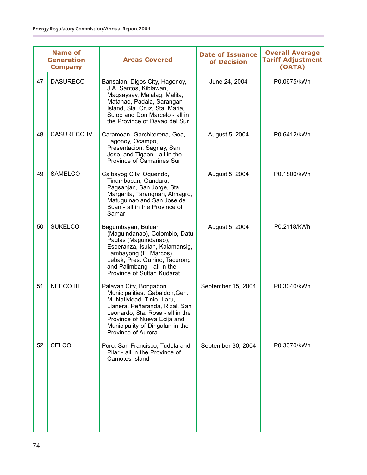|    | <b>Name of</b><br><b>Company</b> | <b>Areas Covered</b>                                                                                                                                                                                                                                 | <b>Date of Issuance</b><br>of Decision | <b>Overall Average</b><br><b>Tariff Adjustment</b><br>(OATA) |
|----|----------------------------------|------------------------------------------------------------------------------------------------------------------------------------------------------------------------------------------------------------------------------------------------------|----------------------------------------|--------------------------------------------------------------|
| 47 | <b>DASURECO</b>                  | Bansalan, Digos City, Hagonoy,<br>J.A. Santos, Kiblawan,<br>Magsaysay, Malalag, Malita,<br>Matanao, Padala, Sarangani<br>Island, Sta. Cruz, Sta. Maria,<br>Sulop and Don Marcelo - all in<br>the Province of Davao del Sur                           | June 24, 2004                          | P0.0675/kWh                                                  |
| 48 | <b>CASURECO IV</b>               | Caramoan, Garchitorena, Goa,<br>Lagonoy, Ocampo,<br>Presentacion, Sagnay, San<br>Jose, and Tigaon - all in the<br>Province of Camarines Sur                                                                                                          | August 5, 2004                         | P0.6412/kWh                                                  |
| 49 | SAMELCO I                        | Calbayog City, Oquendo,<br>Tinambacan, Gandara,<br>Pagsanjan, San Jorge, Sta.<br>Margarita, Tarangnan, Almagro,<br>Matuguinao and San Jose de<br>Buan - all in the Province of<br>Samar                                                              | August 5, 2004                         | P0.1800/kWh                                                  |
| 50 | <b>SUKELCO</b>                   | Bagumbayan, Buluan<br>(Maguindanao), Colombio, Datu<br>Paglas (Maguindanao),<br>Esperanza, Isulan, Kalamansig,<br>Lambayong (E. Marcos),<br>Lebak, Pres. Quirino, Tacurong<br>and Palimbang - all in the<br>Province of Sultan Kudarat               | August 5, 2004                         | P0.2118/kWh                                                  |
| 51 | <b>NEECO III</b>                 | Palayan City, Bongabon<br>Municipalities, Gabaldon, Gen.<br>M. Natividad, Tinio, Laru,<br>Llanera, Peñaranda, Rizal, San<br>Leonardo, Sta. Rosa - all in the<br>Province of Nueva Ecija and<br>Municipality of Dingalan in the<br>Province of Aurora | September 15, 2004                     | P0.3040/kWh                                                  |
| 52 | <b>CELCO</b>                     | Poro, San Francisco, Tudela and<br>Pilar - all in the Province of<br>Camotes Island                                                                                                                                                                  | September 30, 2004                     | P0.3370/kWh                                                  |
|    |                                  | <b>Generation</b>                                                                                                                                                                                                                                    |                                        |                                                              |